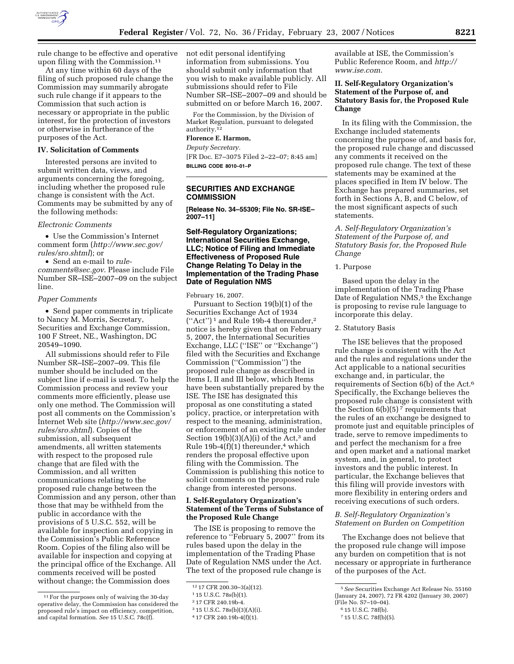

rule change to be effective and operative upon filing with the Commission.11

At any time within 60 days of the filing of such proposed rule change the Commission may summarily abrogate such rule change if it appears to the Commission that such action is necessary or appropriate in the public interest, for the protection of investors or otherwise in furtherance of the purposes of the Act.

#### **IV. Solicitation of Comments**

Interested persons are invited to submit written data, views, and arguments concerning the foregoing, including whether the proposed rule change is consistent with the Act. Comments may be submitted by any of the following methods:

#### *Electronic Comments*

• Use the Commission's Internet comment form (*http://www.sec.gov/ rules/sro.shtml*); or

• Send an e-mail to *rulecomments@sec.gov*. Please include File

Number SR–ISE–2007–09 on the subject line.

### *Paper Comments*

• Send paper comments in triplicate to Nancy M. Morris, Secretary, Securities and Exchange Commission, 100 F Street, NE., Washington, DC 20549–1090.

All submissions should refer to File Number SR–ISE–2007–09. This file number should be included on the subject line if e-mail is used. To help the Commission process and review your comments more efficiently, please use only one method. The Commission will post all comments on the Commission's Internet Web site (*http://www.sec.gov/ rules/sro.shtml*). Copies of the submission, all subsequent amendments, all written statements with respect to the proposed rule change that are filed with the Commission, and all written communications relating to the proposed rule change between the Commission and any person, other than those that may be withheld from the public in accordance with the provisions of 5 U.S.C. 552, will be available for inspection and copying in the Commission's Public Reference Room. Copies of the filing also will be available for inspection and copying at the principal office of the Exchange. All comments received will be posted without change; the Commission does

not edit personal identifying information from submissions. You should submit only information that you wish to make available publicly. All submissions should refer to File Number SR–ISE–2007–09 and should be submitted on or before March 16, 2007.

For the Commission, by the Division of Market Regulation, pursuant to delegated authority.12

# **Florence E. Harmon,**

*Deputy Secretary.* 

[FR Doc. E7–3075 Filed 2–22–07; 8:45 am] **BILLING CODE 8010–01–P** 

# **SECURITIES AND EXCHANGE COMMISSION**

**[Release No. 34–55309; File No. SR-ISE– 2007–11]** 

### **Self-Regulatory Organizations; International Securities Exchange, LLC; Notice of Filing and Immediate Effectiveness of Proposed Rule Change Relating To Delay in the Implementation of the Trading Phase Date of Regulation NMS**

February 16, 2007.

Pursuant to Section 19(b)(1) of the Securities Exchange Act of 1934  $("Act")^1$  and Rule 19b-4 thereunder,<sup>2</sup> notice is hereby given that on February 5, 2007, the International Securities Exchange, LLC (''ISE'' or ''Exchange'') filed with the Securities and Exchange Commission (''Commission'') the proposed rule change as described in Items I, II and III below, which Items have been substantially prepared by the ISE. The ISE has designated this proposal as one constituting a stated policy, practice, or interpretation with respect to the meaning, administration, or enforcement of an existing rule under Section  $19(b)(3)(A)(i)$  of the Act,<sup>3</sup> and Rule  $19b-4(f)(1)$  thereunder,<sup>4</sup> which renders the proposal effective upon filing with the Commission. The Commission is publishing this notice to solicit comments on the proposed rule change from interested persons.

## **I. Self-Regulatory Organization's Statement of the Terms of Substance of the Proposed Rule Change**

The ISE is proposing to remove the reference to ''February 5, 2007'' from its rules based upon the delay in the implementation of the Trading Phase Date of Regulation NMS under the Act. The text of the proposed rule change is

available at ISE, the Commission's Public Reference Room, and *http:// www.ise.com*.

# **II. Self-Regulatory Organization's Statement of the Purpose of, and Statutory Basis for, the Proposed Rule Change**

In its filing with the Commission, the Exchange included statements concerning the purpose of, and basis for, the proposed rule change and discussed any comments it received on the proposed rule change. The text of these statements may be examined at the places specified in Item IV below. The Exchange has prepared summaries, set forth in Sections A, B, and C below, of the most significant aspects of such statements.

*A. Self-Regulatory Organization's Statement of the Purpose of, and Statutory Basis for, the Proposed Rule Change* 

#### 1. Purpose

Based upon the delay in the implementation of the Trading Phase Date of Regulation NMS,<sup>5</sup> the Exchange is proposing to revise rule language to incorporate this delay.

#### 2. Statutory Basis

The ISE believes that the proposed rule change is consistent with the Act and the rules and regulations under the Act applicable to a national securities exchange and, in particular, the requirements of Section 6(b) of the Act.6 Specifically, the Exchange believes the proposed rule change is consistent with the Section 6(b)(5)<sup> $7$ </sup> requirements that the rules of an exchange be designed to promote just and equitable principles of trade, serve to remove impediments to and perfect the mechanism for a free and open market and a national market system, and, in general, to protect investors and the public interest. In particular, the Exchange believes that this filing will provide investors with more flexibility in entering orders and receiving executions of such orders.

#### *B. Self-Regulatory Organization's Statement on Burden on Competition*

The Exchange does not believe that the proposed rule change will impose any burden on competition that is not necessary or appropriate in furtherance of the purposes of the Act.

<sup>11</sup>For the purposes only of waiving the 30-day operative delay, the Commission has considered the proposed rule's impact on efficiency, competition, and capital formation. *See* 15 U.S.C. 78c(f).

<sup>12</sup> 17 CFR 200.30–3(a)(12).

<sup>1</sup> 15 U.S.C. 78s(b)(1).

<sup>2</sup> 17 CFR 240.19b-4.

<sup>3</sup> 15 U.S.C. 78s(b)(3)(A)(i).

<sup>4</sup> 17 CFR 240.19b-4(f)(1).

<sup>5</sup>*See* Securities Exchange Act Release No. 55160 (January 24, 2007), 72 FR 4202 (January 30, 2007) (File No. S7–10–04).

<sup>6</sup> 15 U.S.C. 78f(b).

<sup>7</sup> 15 U.S.C. 78f(b)(5).